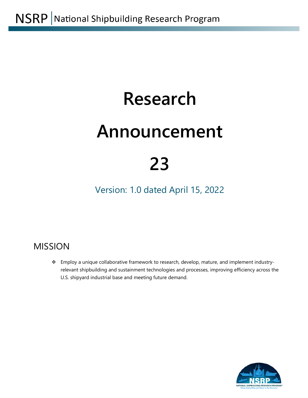# **Research**

# **Announcement**

# **23**

Version: 1.0 dated April 15, 2022

# MISSION

\* Employ a unique collaborative framework to research, develop, mature, and implement industryrelevant shipbuilding and sustainment technologies and processes, improving efficiency across the U.S. shipyard industrial base and meeting future demand.

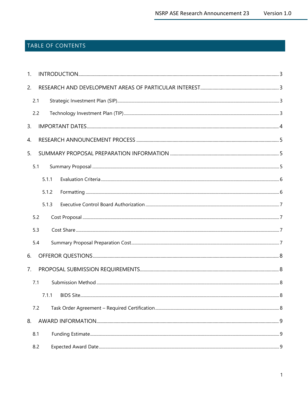# TABLE OF CONTENTS

| 1. |       |  |  |
|----|-------|--|--|
| 2. |       |  |  |
|    | 2.1   |  |  |
|    | 2.2   |  |  |
| 3. |       |  |  |
| 4. |       |  |  |
| 5. |       |  |  |
|    | 5.1   |  |  |
|    | 5.1.1 |  |  |
|    | 5.1.2 |  |  |
|    | 5.1.3 |  |  |
|    | 5.2   |  |  |
|    | 5.3   |  |  |
|    | 5.4   |  |  |
| 6. |       |  |  |
| 7. |       |  |  |
|    | 7.1   |  |  |
|    |       |  |  |
|    | 7.2   |  |  |
| 8. |       |  |  |
|    | 8.1   |  |  |
|    | 8.2   |  |  |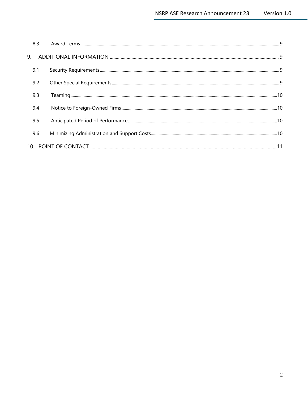| 8.3 |  |  |  |  |
|-----|--|--|--|--|
|     |  |  |  |  |
| 9.1 |  |  |  |  |
| 9.2 |  |  |  |  |
| 9.3 |  |  |  |  |
| 9.4 |  |  |  |  |
| 9.5 |  |  |  |  |
| 9.6 |  |  |  |  |
|     |  |  |  |  |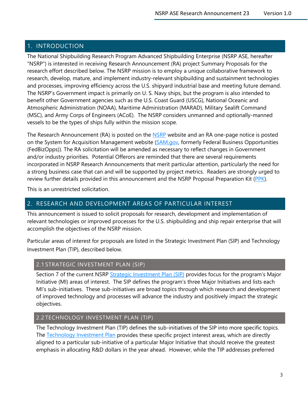# <span id="page-3-0"></span>1. INTRODUCTION

The National Shipbuilding Research Program Advanced Shipbuilding Enterprise (NSRP ASE, hereafter "NSRP") is interested in receiving Research Announcement (RA) project Summary Proposals for the research effort described below. The NSRP mission is to employ a unique collaborative framework to research, develop, mature, and implement industry-relevant shipbuilding and sustainment technologies and processes, improving efficiency across the U.S. shipyard industrial base and meeting future demand. The NSRP's Government impact is primarily on U. S. Navy ships, but the program is also intended to benefit other Government agencies such as the U.S. Coast Guard (USCG), National Oceanic and Atmospheric Administration (NOAA), Maritime Administration (MARAD), Military Sealift Command (MSC), and Army Corps of Engineers (ACoE). The NSRP considers unmanned and optionally-manned vessels to be the types of ships fully within the mission scope.

The Research Announcement (RA) is posted on the [NSRP](http://www.nsrp.org/) website and an RA one-page notice is posted on the System for Acquisition Management website [\(SAM.gov,](https://sam.gov/) formerly Federal Business Opportunities (FedBizOpps)). The RA solicitation will be amended as necessary to reflect changes in Government and/or industry priorities. Potential Offerors are reminded that there are several requirements incorporated in NSRP Research Announcements that merit particular attention, particularly the need for a strong business case that can and will be supported by project metrics. Readers are strongly urged to review further details provided in this announcement and the NSRP Proposal Preparation Kit [\(PPK\)](https://www.nsrp.org/resource-library/).

This is an unrestricted solicitation.

# <span id="page-3-1"></span>2. RESEARCH AND DEVELOPMENT AREAS OF PARTICULAR INTEREST

This announcement is issued to solicit proposals for research, development and implementation of relevant technologies or improved processes for the U.S. shipbuilding and ship repair enterprise that will accomplish the objectives of the NSRP mission.

Particular areas of interest for proposals are listed in the Strategic Investment Plan (SIP) and Technology Investment Plan (TIP), described below.

# <span id="page-3-2"></span>2.1 STRATEGIC INVESTMENT PLAN (SIP)

Section 7 of the current NSRP [Strategic Investment Plan \(SIP\)](https://www.nsrp.org/resource-library/) provides focus for the program's Major Initiative (MI) areas of interest. The SIP defines the program's three Major Initiatives and lists each MI's sub-initiatives. These sub-initiatives are broad topics through which research and development of improved technology and processes will advance the industry and positively impact the strategic objectives.

# <span id="page-3-3"></span>2.2 TECHNOLOGY INVESTMENT PLAN (TIP)

The Technology Investment Plan (TIP) defines the sub-initiatives of the SIP into more specific topics. The [Technology Investment Plan](https://www.nsrp.org/resource-library/) provides these specific project interest areas, which are directly aligned to a particular sub-initiative of a particular Major Initiative that should receive the greatest emphasis in allocating R&D dollars in the year ahead. However, while the TIP addresses preferred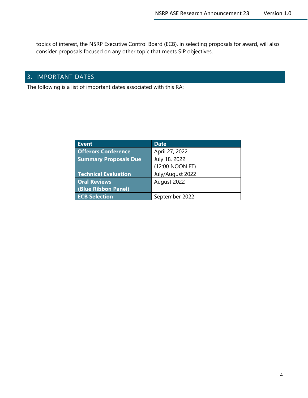topics of interest, the NSRP Executive Control Board (ECB), in selecting proposals for award, will also consider proposals focused on any other topic that meets SIP objectives.

# <span id="page-4-0"></span>3. IMPORTANT DATES

The following is a list of important dates associated with this RA:

| Event                        | <b>Date</b>      |
|------------------------------|------------------|
| <b>Offerors Conference</b>   | April 27, 2022   |
| <b>Summary Proposals Due</b> | July 18, 2022    |
|                              | (12:00 NOON ET)  |
| <b>Technical Evaluation</b>  | July/August 2022 |
| <b>Oral Reviews</b>          | August 2022      |
| (Blue Ribbon Panel)          |                  |
| <b>ECB Selection</b>         | September 2022   |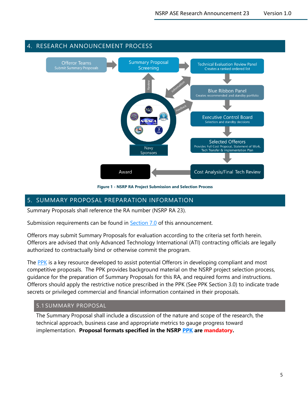

# <span id="page-5-0"></span>4. RESEARCH ANNOUNCEMENT PROCESS

**Figure 1 - NSRP RA Project Submission and Selection Process**

# <span id="page-5-1"></span>5. SUMMARY PROPOSAL PREPARATION INFORMATION

Summary Proposals shall reference the RA number (NSRP RA 23).

Submission requirements can be found in **Section 7.0** of this announcement.

Offerors may submit Summary Proposals for evaluation according to the criteria set forth herein. Offerors are advised that only Advanced Technology International (ATI) contracting officials are legally authorized to contractually bind or otherwise commit the program.

The [PPK](https://www.nsrp.org/resource-library/) is a key resource developed to assist potential Offerors in developing compliant and most competitive proposals. The PPK provides background material on the NSRP project selection process, guidance for the preparation of Summary Proposals for this RA, and required forms and instructions. Offerors should apply the restrictive notice prescribed in the PPK (See PPK Section 3.0) to indicate trade secrets or privileged commercial and financial information contained in their proposals.

# <span id="page-5-2"></span>5.1 SUMMARY PROPOSAL

The Summary Proposal shall include a discussion of the nature and scope of the research, the technical approach, business case and appropriate metrics to gauge progress toward implementation. **Proposal formats specified in the NSRP [PPK](https://www.nsrp.org/resource-library/) are mandatory.**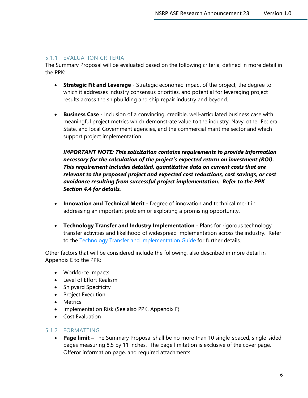# <span id="page-6-0"></span>5.1.1 EVALUATION CRITERIA

The Summary Proposal will be evaluated based on the following criteria, defined in more detail in the PPK:

- **Strategic Fit and Leverage** Strategic economic impact of the project, the degree to which it addresses industry consensus priorities, and potential for leveraging project results across the shipbuilding and ship repair industry and beyond.
- **Business Case** Inclusion of a convincing, credible, well-articulated business case with meaningful project metrics which demonstrate value to the industry, Navy, other Federal, State, and local Government agencies, and the commercial maritime sector and which support project implementation.

*IMPORTANT NOTE: This solicitation contains requirements to provide information necessary for the calculation of the project's expected return on investment (ROI). This requirement includes detailed, quantitative data on current costs that are relevant to the proposed project and expected cost reductions, cost savings, or cost avoidance resulting from successful project implementation. Refer to the PPK Section 4.4 for details.*

- **Innovation and Technical Merit -** Degree of innovation and technical merit in addressing an important problem or exploiting a promising opportunity.
- **Technology Transfer and Industry Implementation** Plans for rigorous technology transfer activities and likelihood of widespread implementation across the industry. Refer to the [Technology Transfer and Implementation Guide](https://www.nsrp.org/resource-library/) for further details.

Other factors that will be considered include the following, also described in more detail in Appendix E to the PPK:

- Workforce Impacts
- Level of Effort Realism
- Shipyard Specificity
- Project Execution
- Metrics
- Implementation Risk (See also PPK, Appendix F)
- Cost Evaluation

# <span id="page-6-1"></span>5.1.2 FORMATTING

• **Page limit –** The Summary Proposal shall be no more than 10 single-spaced, single-sided pages measuring 8.5 by 11 inches. The page limitation is exclusive of the cover page, Offeror information page, and required attachments.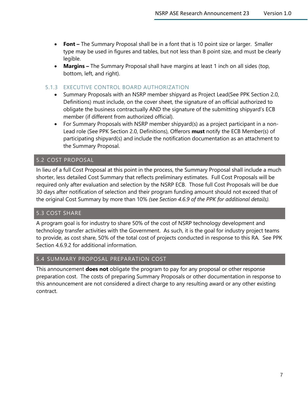- **Font –** The Summary Proposal shall be in a font that is 10 point size or larger. Smaller type may be used in figures and tables, but not less than 8 point size, and must be clearly legible.
- **Margins –** The Summary Proposal shall have margins at least 1 inch on all sides (top, bottom, left, and right).

# <span id="page-7-0"></span>5.1.3 EXECUTIVE CONTROL BOARD AUTHORIZATION

- Summary Proposals with an NSRP member shipyard as Project Lead(See PPK Section 2.0, Definitions) must include, on the cover sheet, the signature of an official authorized to obligate the business contractually AND the signature of the submitting shipyard's ECB member (if different from authorized official).
- For Summary Proposals with NSRP member shipyard(s) as a project participant in a non-Lead role (See PPK Section 2.0, Definitions), Offerors **must** notify the ECB Member(s) of participating shipyard(s) and include the notification documentation as an attachment to the Summary Proposal.

# <span id="page-7-1"></span>5.2 COST PROPOSAL

In lieu of a full Cost Proposal at this point in the process, the Summary Proposal shall include a much shorter, less detailed Cost Summary that reflects preliminary estimates. Full Cost Proposals will be required only after evaluation and selection by the NSRP ECB. Those full Cost Proposals will be due 30 days after notification of selection and their program funding amount should not exceed that of the original Cost Summary by more than 10% *(see Section 4.6.9 of the PPK for additional details).*

# <span id="page-7-2"></span>5.3 COST SHARE

A program goal is for industry to share 50% of the cost of NSRP technology development and technology transfer activities with the Government. As such, it is the goal for industry project teams to provide, as cost share, 50% of the total cost of projects conducted in response to this RA. See PPK Section 4.6.9.2 for additional information.

# <span id="page-7-3"></span>5.4 SUMMARY PROPOSAL PREPARATION COST

This announcement **does not** obligate the program to pay for any proposal or other response preparation cost. The costs of preparing Summary Proposals or other documentation in response to this announcement are not considered a direct charge to any resulting award or any other existing contract.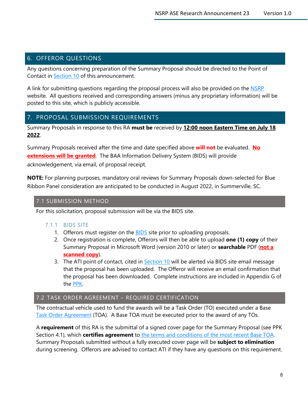# <span id="page-8-0"></span>6. OFFEROR QUESTIONS

Any questions concerning preparation of the Summary Proposal should be directed to the Point of Contact in [Section 10](#page-11-1) of this announcement.

A link for submitting questions regarding the proposal process will also be provided on the [NSRP](http://www.nsrp.org/) website. All questions received and corresponding answers (minus any proprietary information) will be posted to this site, which is publicly accessible.

# <span id="page-8-1"></span>7. PROPOSAL SUBMISSION REQUIREMENTS

Summary Proposals in response to this RA **must be** received by **12:00 noon Eastern Time on July 18 2022**.

Summary Proposals received after the time and date specified above **will not** be evaluated. **No extensions will be granted**. The BAA Information Delivery System (BIDS) will provide acknowledgement, via email, of proposal receipt.

**NOTE:** For planning purposes, mandatory oral reviews for Summary Proposals down-selected for Blue Ribbon Panel consideration are anticipated to be conducted in August 2022, in Summerville, SC.

# <span id="page-8-2"></span>7.1 SUBMISSION METHOD

<span id="page-8-3"></span>For this solicitation, proposal submission will be via the BIDS site.

# 7.1.1 BIDS SITE

- 1. Offerors must register on the **BIDS** site prior to uploading proposals.
- 2. Once registration is complete, Offerors will then be able to upload **one (1) copy** of their Summary Proposal in Microsoft Word (version 2010 or later) or **searchable** PDF (**not a scanned copy**).
- 3. The ATI point of contact, cited in **Section 10** will be alerted via BIDS site email message that the proposal has been uploaded. The Offeror will receive an email confirmation that the proposal has been downloaded. Complete instructions are included in Appendix G of the [PPK.](https://www.nsrp.org/wp-content/uploads/2019/03/PPK-13-0-FINAL.pdf)

# <span id="page-8-4"></span>7.2 TASK ORDER AGREEMENT – REQUIRED CERTIFICATION

The contractual vehicle used to fund the awards will be a Task Order (TO) executed under a Base [Task Order Agreement](http://www.nsrp.org/resource-library/) (TOA). A Base TOA must be executed prior to the award of any TOs.

A **requirement** of this RA is the submittal of a signed cover page for the Summary Proposal (see PPK Section 4.1), which **certifies agreement** to [the terms and conditions of the most recent Base TOA.](https://www.nsrp.org/resource-library/) Summary Proposals submitted without a fully executed cover page will be **subject to elimination**  during screening. Offerors are advised to contact ATI if they have any questions on this requirement.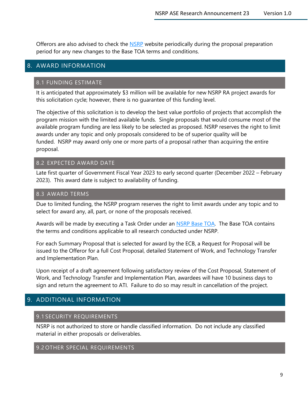Offerors are also advised to check the [NSRP](http://www.nsrp.org/) website periodically during the proposal preparation period for any new changes to the Base TOA terms and conditions.

# <span id="page-9-1"></span><span id="page-9-0"></span>8. AWARD INFORMATION

# 8.1 FUNDING ESTIMATE

It is anticipated that approximately \$3 million will be available for new NSRP RA project awards for this solicitation cycle; however, there is no guarantee of this funding level.

The objective of this solicitation is to develop the best value portfolio of projects that accomplish the program mission with the limited available funds. Single proposals that would consume most of the available program funding are less likely to be selected as proposed. NSRP reserves the right to limit awards under any topic and only proposals considered to be of superior quality will be funded. NSRP may award only one or more parts of a proposal rather than acquiring the entire proposal.

# <span id="page-9-2"></span>8.2 EXPECTED AWARD DATE

Late first quarter of Government Fiscal Year 2023 to early second quarter (December 2022 – February 2023). This award date is subject to availability of funding.

#### <span id="page-9-3"></span>8.3 AWARD TERMS

Due to limited funding, the NSRP program reserves the right to limit awards under any topic and to select for award any, all, part, or none of the proposals received.

Awards will be made by executing a Task Order under an **NSRP Base TOA**. The Base TOA contains the terms and conditions applicable to all research conducted under NSRP.

For each Summary Proposal that is selected for award by the ECB, a Request for Proposal will be issued to the Offeror for a full Cost Proposal, detailed Statement of Work, and Technology Transfer and Implementation Plan.

Upon receipt of a draft agreement following satisfactory review of the Cost Proposal, Statement of Work, and Technology Transfer and Implementation Plan, awardees will have 10 business days to sign and return the agreement to ATI. Failure to do so may result in cancellation of the project.

# <span id="page-9-5"></span><span id="page-9-4"></span>9. ADDITIONAL INFORMATION

# 9.1 SECURITY REQUIREMENTS

NSRP is not authorized to store or handle classified information. Do not include any classified material in either proposals or deliverables.

# <span id="page-9-6"></span>9.2 OTHER SPECIAL REQUIREMENTS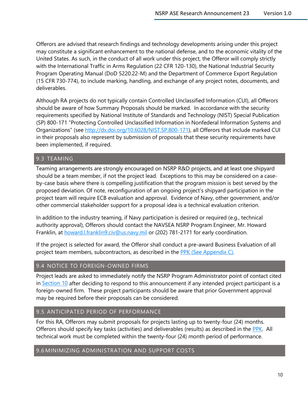Offerors are advised that research findings and technology developments arising under this project may constitute a significant enhancement to the national defense, and to the economic vitality of the United States. As such, in the conduct of all work under this project, the Offeror will comply strictly with the International Traffic in Arms Regulation (22 CFR 120-130), the National Industrial Security Program Operating Manual (DoD 5220.22-M) and the Department of Commerce Export Regulation (15 CFR 730-774), to include marking, handling, and exchange of any project notes, documents, and deliverables.

Although RA projects do not typically contain Controlled Unclassified Information (CUI), all Offerors should be aware of how Summary Proposals should be marked. In accordance with the security requirements specified by National Institute of Standards and Technology (NIST) Special Publication (SP) 800-171 "Protecting Controlled Unclassified Information in Nonfederal Information Systems and Organizations" (see [http://dx.doi.org/10.6028/NIST.SP.800-171\)](http://dx.doi.org/10.6028/NIST.SP.800-171), all Offerors that include marked CUI in their proposals also represent by submission of proposals that these security requirements have been implemented, if required.

# <span id="page-10-0"></span>9.3 TEAMING

Teaming arrangements are strongly encouraged on NSRP R&D projects, and at least one shipyard should be a team member, if not the project lead. Exceptions to this may be considered on a caseby-case basis where there is compelling justification that the program mission is best served by the proposed deviation. Of note, reconfiguration of an ongoing project's shipyard participation in the project team will require ECB evaluation and approval. Evidence of Navy, other government, and/or other commercial stakeholder support for a proposal idea is a technical evaluation criterion.

In addition to the industry teaming, if Navy participation is desired or required (e.g., technical authority approval), Offerors should contact the NAVSEA NSRP Program Engineer, Mr. Howard Franklin, at [howard.l.franklin9.civ@us.navy.mil](mailto:howard.l.franklin9.civ@us.navy.mil) or (202) 781-2171 for early coordination.

If the project is selected for award, the Offeror shall conduct a pre-award Business Evaluation of all project team members, subcontractors, as described in the [PPK](https://www.nsrp.org/wp-content/uploads/2019/03/PPK-13-0-FINAL.pdf) (See Appendix C).

# <span id="page-10-1"></span>9.4 NOTICE TO FOREIGN-OWNED FIRMS

Project leads are asked to immediately notify the NSRP Program Administrator point of contact cited in [Section 10](#page-11-1) after deciding to respond to this announcement if any intended project participant is a foreign-owned firm. These project participants should be aware that prior Government approval may be required before their proposals can be considered.

# <span id="page-10-2"></span>9.5 ANTICIPATED PERIOD OF PERFORMANCE

For this RA, Offerors may submit proposals for projects lasting up to twenty-four (24) months. Offerors should specify key tasks (activities) and deliverables (results) as described in the [PPK.](https://www.nsrp.org/resource-library/) All technical work must be completed within the twenty-four (24) month period of performance.

# <span id="page-10-3"></span>9.6 MINIMIZING ADMINISTRATION AND SUPPORT COSTS